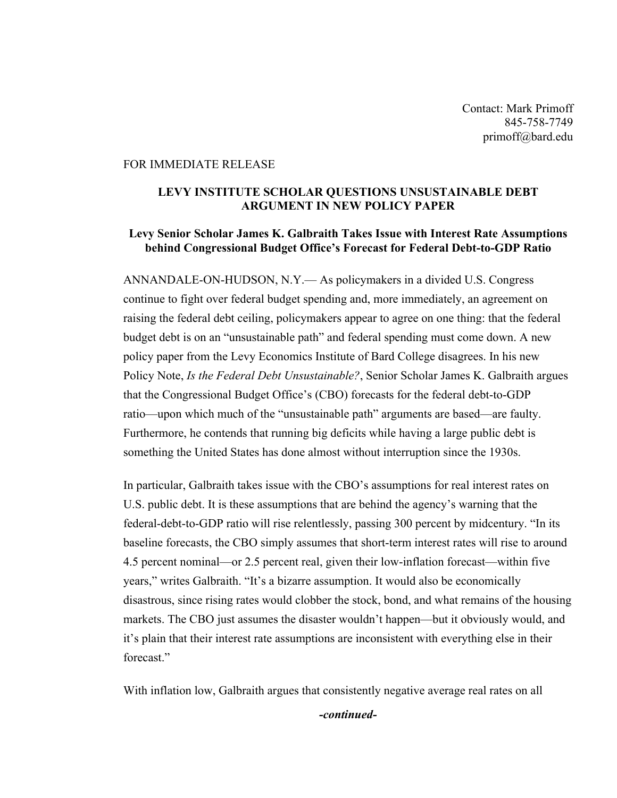Contact: Mark Primoff 845-758-7749 primoff@bard.edu

## FOR IMMEDIATE RELEASE

## **LEVY INSTITUTE SCHOLAR QUESTIONS UNSUSTAINABLE DEBT ARGUMENT IN NEW POLICY PAPER**

## **Levy Senior Scholar James K. Galbraith Takes Issue with Interest Rate Assumptions behind Congressional Budget Office's Forecast for Federal Debt-to-GDP Ratio**

ANNANDALE-ON-HUDSON, N.Y.— As policymakers in a divided U.S. Congress continue to fight over federal budget spending and, more immediately, an agreement on raising the federal debt ceiling, policymakers appear to agree on one thing: that the federal budget debt is on an "unsustainable path" and federal spending must come down. A new policy paper from the Levy Economics Institute of Bard College disagrees. In his new Policy Note, *Is the Federal Debt Unsustainable?*, Senior Scholar James K. Galbraith argues that the Congressional Budget Office's (CBO) forecasts for the federal debt-to-GDP ratio—upon which much of the "unsustainable path" arguments are based—are faulty. Furthermore, he contends that running big deficits while having a large public debt is something the United States has done almost without interruption since the 1930s.

In particular, Galbraith takes issue with the CBO's assumptions for real interest rates on U.S. public debt. It is these assumptions that are behind the agency's warning that the federal-debt-to-GDP ratio will rise relentlessly, passing 300 percent by midcentury. "In its baseline forecasts, the CBO simply assumes that short-term interest rates will rise to around 4.5 percent nominal—or 2.5 percent real, given their low-inflation forecast—within five years," writes Galbraith. "It's a bizarre assumption. It would also be economically disastrous, since rising rates would clobber the stock, bond, and what remains of the housing markets. The CBO just assumes the disaster wouldn't happen—but it obviously would, and it's plain that their interest rate assumptions are inconsistent with everything else in their forecast"

With inflation low, Galbraith argues that consistently negative average real rates on all

*-continued-*